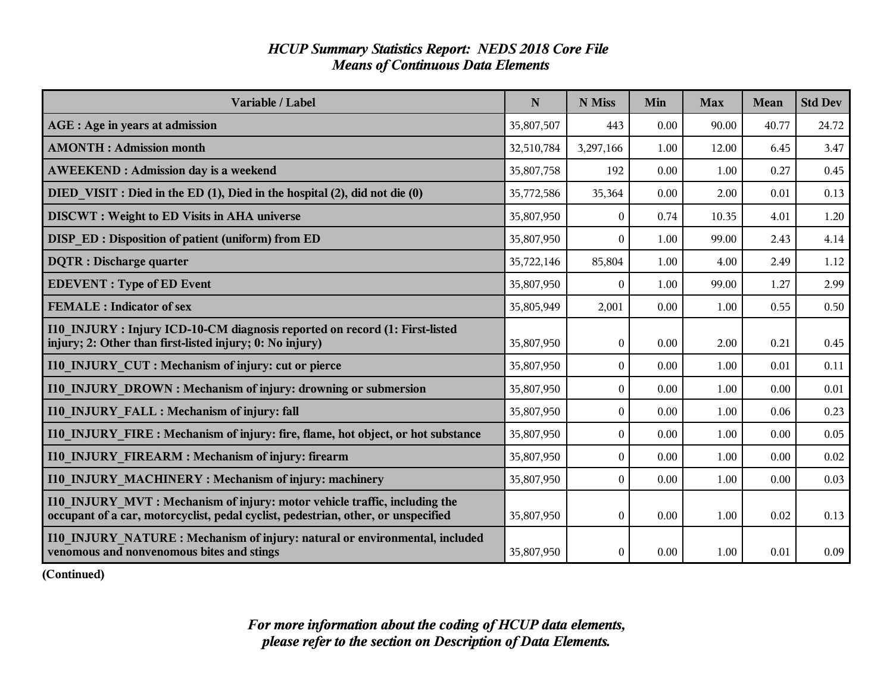### *HCUP Summary Statistics Report: NEDS 2018 Core File Means of Continuous Data Elements*

| Variable / Label                                                                                                                                               | $\mathbf N$ | N Miss           | Min  | <b>Max</b> | Mean  | <b>Std Dev</b> |
|----------------------------------------------------------------------------------------------------------------------------------------------------------------|-------------|------------------|------|------------|-------|----------------|
| AGE : Age in years at admission                                                                                                                                | 35,807,507  | 443              | 0.00 | 90.00      | 40.77 | 24.72          |
| <b>AMONTH: Admission month</b>                                                                                                                                 | 32,510,784  | 3,297,166        | 1.00 | 12.00      | 6.45  | 3.47           |
| <b>AWEEKEND: Admission day is a weekend</b>                                                                                                                    | 35,807,758  | 192              | 0.00 | 1.00       | 0.27  | 0.45           |
| DIED VISIT : Died in the ED (1), Died in the hospital (2), did not die (0)                                                                                     | 35,772,586  | 35,364           | 0.00 | 2.00       | 0.01  | 0.13           |
| <b>DISCWT</b> : Weight to ED Visits in AHA universe                                                                                                            | 35,807,950  | $\overline{0}$   | 0.74 | 10.35      | 4.01  | 1.20           |
| DISP ED: Disposition of patient (uniform) from ED                                                                                                              | 35,807,950  | $\boldsymbol{0}$ | 1.00 | 99.00      | 2.43  | 4.14           |
| <b>DQTR</b> : Discharge quarter                                                                                                                                | 35,722,146  | 85,804           | 1.00 | 4.00       | 2.49  | 1.12           |
| <b>EDEVENT</b> : Type of ED Event                                                                                                                              | 35,807,950  | $\Omega$         | 1.00 | 99.00      | 1.27  | 2.99           |
| <b>FEMALE</b> : Indicator of sex                                                                                                                               | 35,805,949  | 2,001            | 0.00 | 1.00       | 0.55  | 0.50           |
| I10 INJURY : Injury ICD-10-CM diagnosis reported on record (1: First-listed<br>injury; 2: Other than first-listed injury; 0: No injury)                        | 35,807,950  | $\boldsymbol{0}$ | 0.00 | 2.00       | 0.21  | 0.45           |
| 110 INJURY CUT : Mechanism of injury: cut or pierce                                                                                                            | 35,807,950  | $\mathbf{0}$     | 0.00 | 1.00       | 0.01  | 0.11           |
| <b>I10 INJURY DROWN: Mechanism of injury: drowning or submersion</b>                                                                                           | 35,807,950  | 0                | 0.00 | 1.00       | 0.00  | 0.01           |
| <b>I10 INJURY FALL: Mechanism of injury: fall</b>                                                                                                              | 35,807,950  | $\theta$         | 0.00 | 1.00       | 0.06  | 0.23           |
| <b>110 INJURY FIRE: Mechanism of injury: fire, flame, hot object, or hot substance</b>                                                                         | 35,807,950  | $\Omega$         | 0.00 | 1.00       | 0.00  | 0.05           |
| <b>I10 INJURY FIREARM: Mechanism of injury: firearm</b>                                                                                                        | 35,807,950  | $\boldsymbol{0}$ | 0.00 | 1.00       | 0.00  | 0.02           |
| 110 INJURY MACHINERY: Mechanism of injury: machinery                                                                                                           | 35,807,950  | $\overline{0}$   | 0.00 | 1.00       | 0.00  | 0.03           |
| I10 INJURY MVT: Mechanism of injury: motor vehicle traffic, including the<br>occupant of a car, motorcyclist, pedal cyclist, pedestrian, other, or unspecified | 35,807,950  | $\overline{0}$   | 0.00 | 1.00       | 0.02  | 0.13           |
| 110 INJURY NATURE: Mechanism of injury: natural or environmental, included<br>venomous and nonvenomous bites and stings                                        | 35,807,950  | $\theta$         | 0.00 | 1.00       | 0.01  | 0.09           |

**(Continued)**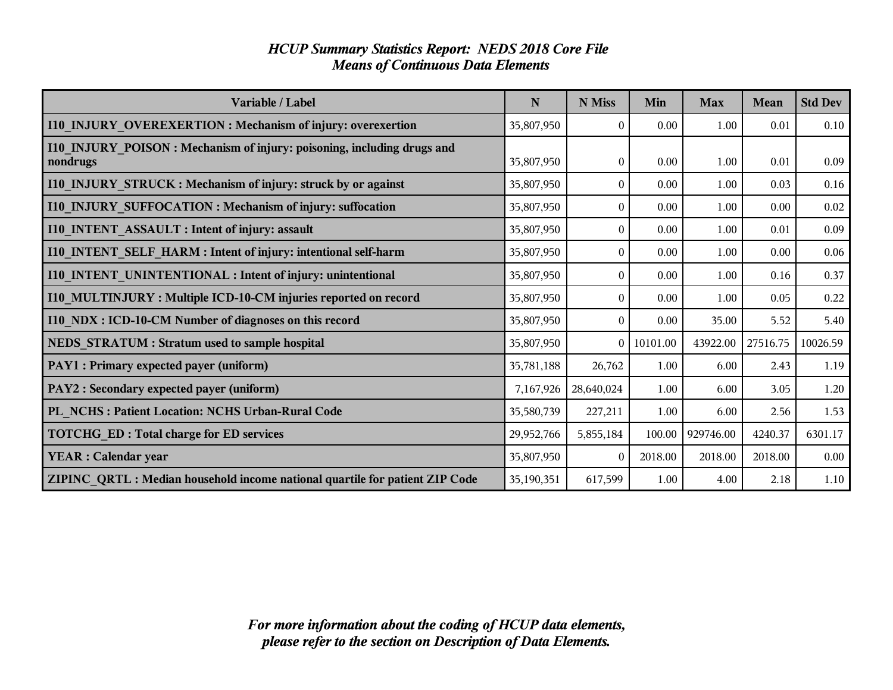### *HCUP Summary Statistics Report: NEDS 2018 Core File Means of Continuous Data Elements*

| Variable / Label                                                                    | N          | N Miss       | Min      | <b>Max</b> | <b>Mean</b> | <b>Std Dev</b> |
|-------------------------------------------------------------------------------------|------------|--------------|----------|------------|-------------|----------------|
| I10_INJURY_OVEREXERTION: Mechanism of injury: overexertion                          | 35,807,950 | $\theta$     | 0.00     | 1.00       | 0.01        | 0.10           |
| I10 INJURY POISON : Mechanism of injury: poisoning, including drugs and<br>nondrugs | 35,807,950 | $\theta$     | 0.00     | 1.00       | 0.01        | 0.09           |
| I10 INJURY STRUCK: Mechanism of injury: struck by or against                        | 35,807,950 | $\theta$     | 0.00     | 1.00       | 0.03        | 0.16           |
| I10_INJURY_SUFFOCATION: Mechanism of injury: suffocation                            | 35,807,950 | $\mathbf{0}$ | 0.00     | 1.00       | 0.00        | 0.02           |
| <b>I10 INTENT ASSAULT : Intent of injury: assault</b>                               | 35,807,950 | $\theta$     | 0.00     | 1.00       | 0.01        | 0.09           |
| I10 INTENT SELF HARM : Intent of injury: intentional self-harm                      | 35,807,950 | $\mathbf{0}$ | 0.00     | 1.00       | 0.00        | 0.06           |
| I10_INTENT_UNINTENTIONAL: Intent of injury: unintentional                           | 35,807,950 | $\theta$     | 0.00     | 1.00       | 0.16        | 0.37           |
| I10 MULTINJURY: Multiple ICD-10-CM injuries reported on record                      | 35,807,950 | $\theta$     | 0.00     | 1.00       | 0.05        | 0.22           |
| I10_NDX: ICD-10-CM Number of diagnoses on this record                               | 35,807,950 | $\theta$     | 0.00     | 35.00      | 5.52        | 5.40           |
| NEDS STRATUM : Stratum used to sample hospital                                      | 35,807,950 | $\theta$     | 10101.00 | 43922.00   | 27516.75    | 10026.59       |
| PAY1 : Primary expected payer (uniform)                                             | 35,781,188 | 26,762       | 1.00     | 6.00       | 2.43        | 1.19           |
| PAY2 : Secondary expected payer (uniform)                                           | 7,167,926  | 28,640,024   | 1.00     | 6.00       | 3.05        | 1.20           |
| PL NCHS : Patient Location: NCHS Urban-Rural Code                                   | 35,580,739 | 227,211      | 1.00     | 6.00       | 2.56        | 1.53           |
| <b>TOTCHG ED: Total charge for ED services</b>                                      | 29,952,766 | 5,855,184    | 100.00   | 929746.00  | 4240.37     | 6301.17        |
| <b>YEAR : Calendar year</b>                                                         | 35,807,950 | $\theta$     | 2018.00  | 2018.00    | 2018.00     | 0.00           |
| ZIPINC QRTL: Median household income national quartile for patient ZIP Code         | 35,190,351 | 617,599      | 1.00     | 4.00       | 2.18        | 1.10           |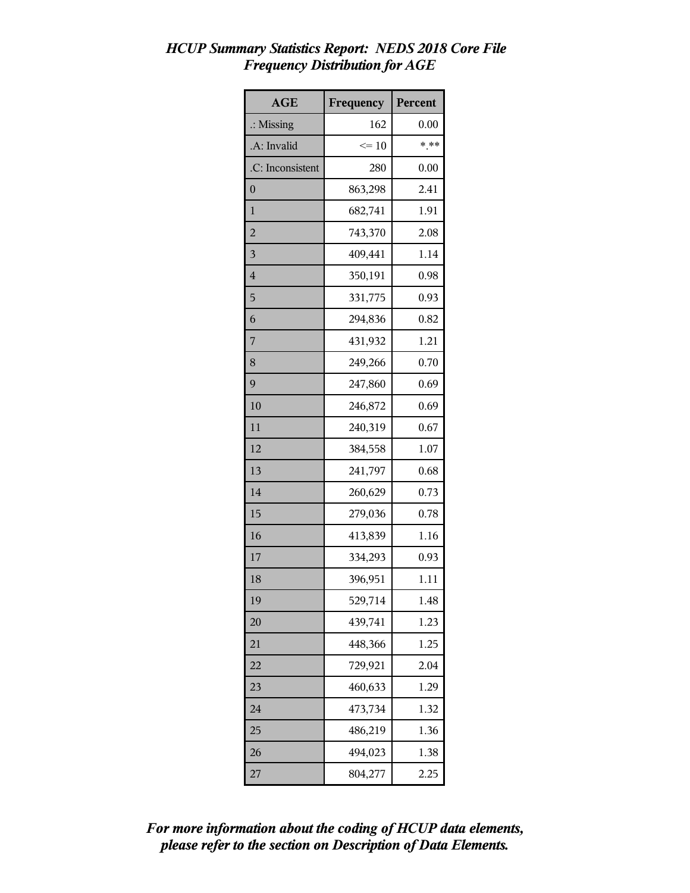| <b>AGE</b>           | Frequency | Percent |
|----------------------|-----------|---------|
| $\therefore$ Missing | 162       | 0.00    |
| .A: Invalid          | $\leq 10$ | * **    |
| .C: Inconsistent     | 280       | 0.00    |
| $\boldsymbol{0}$     | 863,298   | 2.41    |
| 1                    | 682,741   | 1.91    |
| $\overline{2}$       | 743,370   | 2.08    |
| 3                    | 409,441   | 1.14    |
| $\overline{4}$       | 350,191   | 0.98    |
| 5                    | 331,775   | 0.93    |
| 6                    | 294,836   | 0.82    |
| 7                    | 431,932   | 1.21    |
| 8                    | 249,266   | 0.70    |
| 9                    | 247,860   | 0.69    |
| 10                   | 246,872   | 0.69    |
| 11                   | 240,319   | 0.67    |
| 12                   | 384,558   | 1.07    |
| 13                   | 241,797   | 0.68    |
| 14                   | 260,629   | 0.73    |
| 15                   | 279,036   | 0.78    |
| 16                   | 413,839   | 1.16    |
| 17                   | 334,293   | 0.93    |
| 18                   | 396,951   | 1.11    |
| 19                   | 529,714   | 1.48    |
| 20                   | 439,741   | 1.23    |
| 21                   | 448,366   | 1.25    |
| 22                   | 729,921   | 2.04    |
| 23                   | 460,633   | 1.29    |
| 24                   | 473,734   | 1.32    |
| 25                   | 486,219   | 1.36    |
| 26                   | 494,023   | 1.38    |
| 27                   | 804,277   | 2.25    |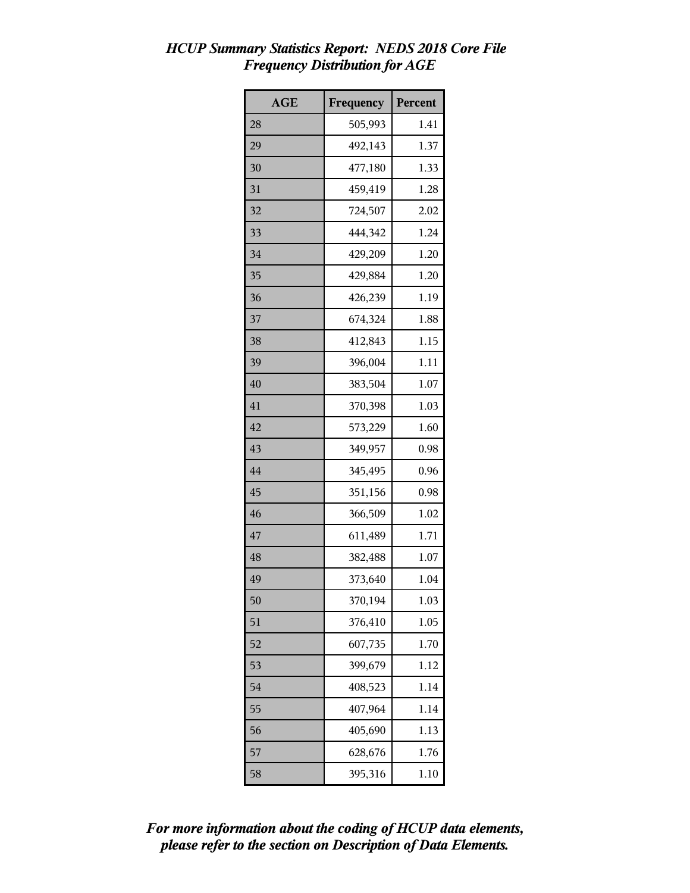| <b>AGE</b> | Frequency | Percent |
|------------|-----------|---------|
| 28         | 505,993   | 1.41    |
| 29         | 492,143   | 1.37    |
| 30         | 477,180   | 1.33    |
| 31         | 459,419   | 1.28    |
| 32         | 724,507   | 2.02    |
| 33         | 444,342   | 1.24    |
| 34         | 429,209   | 1.20    |
| 35         | 429,884   | 1.20    |
| 36         | 426,239   | 1.19    |
| 37         | 674,324   | 1.88    |
| 38         | 412,843   | 1.15    |
| 39         | 396,004   | 1.11    |
| 40         | 383,504   | 1.07    |
| 41         | 370,398   | 1.03    |
| 42         | 573,229   | 1.60    |
| 43         | 349,957   | 0.98    |
| 44         | 345,495   | 0.96    |
| 45         | 351,156   | 0.98    |
| 46         | 366,509   | 1.02    |
| 47         | 611,489   | 1.71    |
| 48         | 382,488   | 1.07    |
| 49         | 373,640   | 1.04    |
| 50         | 370,194   | 1.03    |
| 51         | 376,410   | 1.05    |
| 52         | 607,735   | 1.70    |
| 53         | 399,679   | 1.12    |
| 54         | 408,523   | 1.14    |
| 55         | 407,964   | 1.14    |
| 56         | 405,690   | 1.13    |
| 57         | 628,676   | 1.76    |
| 58         | 395,316   | 1.10    |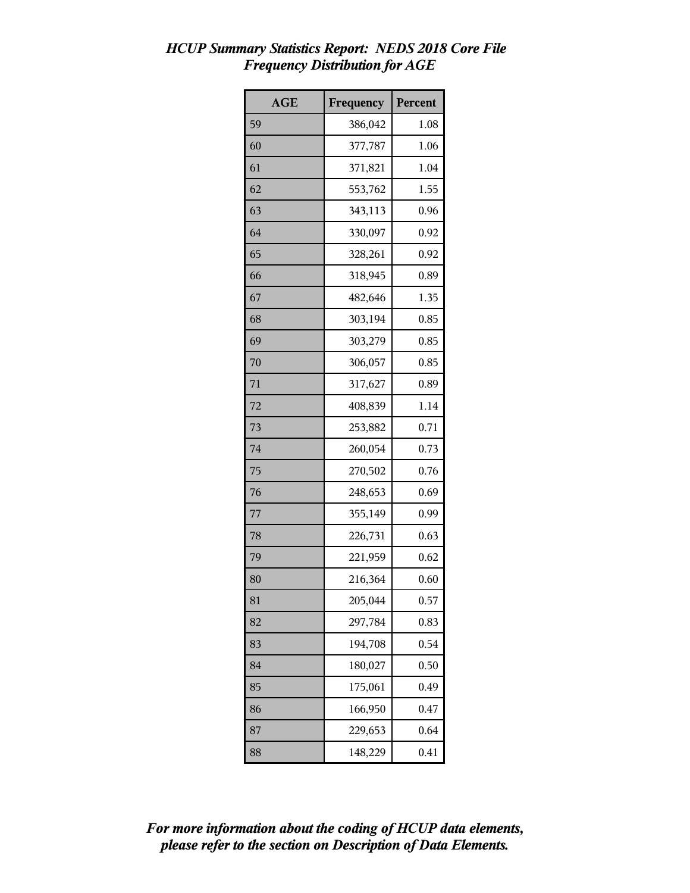| <b>AGE</b> | Frequency | Percent |
|------------|-----------|---------|
| 59         | 386,042   | 1.08    |
| 60         | 377,787   | 1.06    |
| 61         | 371,821   | 1.04    |
| 62         | 553,762   | 1.55    |
| 63         | 343,113   | 0.96    |
| 64         | 330,097   | 0.92    |
| 65         | 328,261   | 0.92    |
| 66         | 318,945   | 0.89    |
| 67         | 482,646   | 1.35    |
| 68         | 303,194   | 0.85    |
| 69         | 303,279   | 0.85    |
| 70         | 306,057   | 0.85    |
| 71         | 317,627   | 0.89    |
| 72         | 408,839   | 1.14    |
| 73         | 253,882   | 0.71    |
| 74         | 260,054   | 0.73    |
| 75         | 270,502   | 0.76    |
| 76         | 248,653   | 0.69    |
| 77         | 355,149   | 0.99    |
| 78         | 226,731   | 0.63    |
| 79         | 221,959   | 0.62    |
| 80         | 216,364   | 0.60    |
| 81         | 205,044   | 0.57    |
| 82         | 297,784   | 0.83    |
| 83         | 194,708   | 0.54    |
| 84         | 180,027   | 0.50    |
| 85         | 175,061   | 0.49    |
| 86         | 166,950   | 0.47    |
| 87         | 229,653   | 0.64    |
| 88         | 148,229   | 0.41    |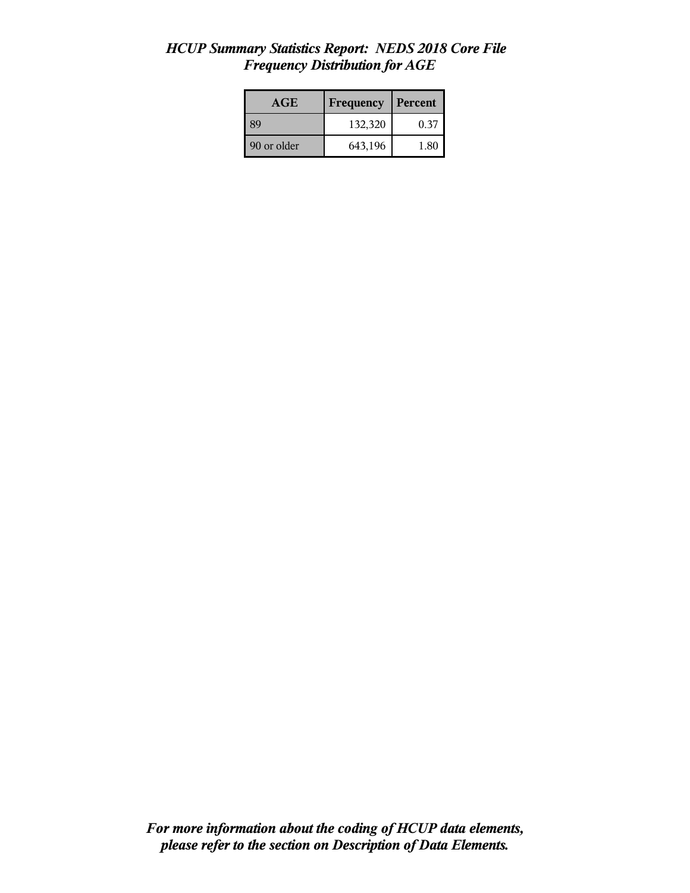| AGE         | <b>Frequency</b> | Percent |
|-------------|------------------|---------|
| <b>89</b>   | 132,320          | 0.37    |
| 90 or older | 643,196          | 1.80    |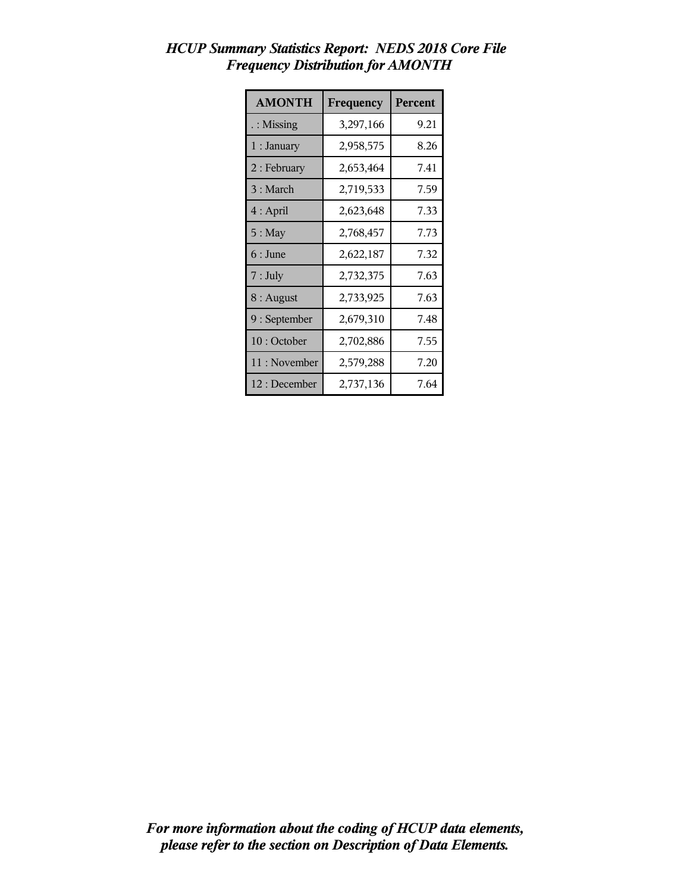| <b>AMONTH</b>        | Frequency | <b>Percent</b> |
|----------------------|-----------|----------------|
| $\therefore$ Missing | 3,297,166 | 9.21           |
| $1:$ January         | 2,958,575 | 8.26           |
| $2:$ February        | 2,653,464 | 7.41           |
| 3 : March            | 2,719,533 | 7.59           |
| $4:$ April           | 2,623,648 | 7.33           |
| $5:$ May             | 2,768,457 | 7.73           |
| $6:$ June            | 2,622,187 | 7.32           |
| 7: July              | 2,732,375 | 7.63           |
| $8:$ August          | 2,733,925 | 7.63           |
| 9 : September        | 2,679,310 | 7.48           |
| 10: October          | 2,702,886 | 7.55           |
| 11: November         | 2,579,288 | 7.20           |
| 12 : December        | 2,737,136 | 7.64           |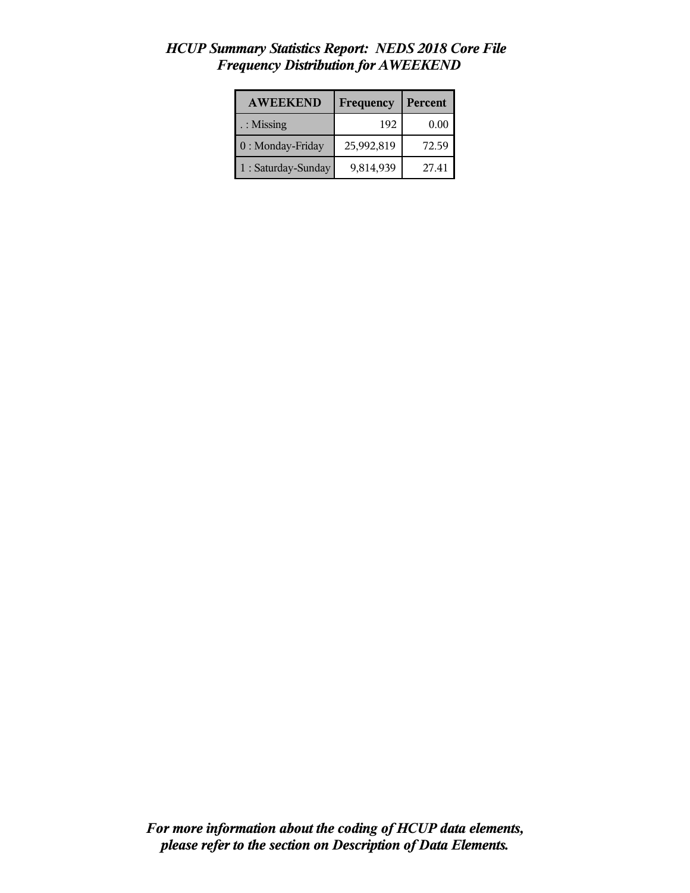| <b>AWEEKEND</b>     | Frequency  | Percent |
|---------------------|------------|---------|
| : Missing           | 192        | 0.00    |
| 0 : Monday-Friday   | 25,992,819 | 72.59   |
| 1 : Saturday-Sunday | 9,814,939  | 27.41   |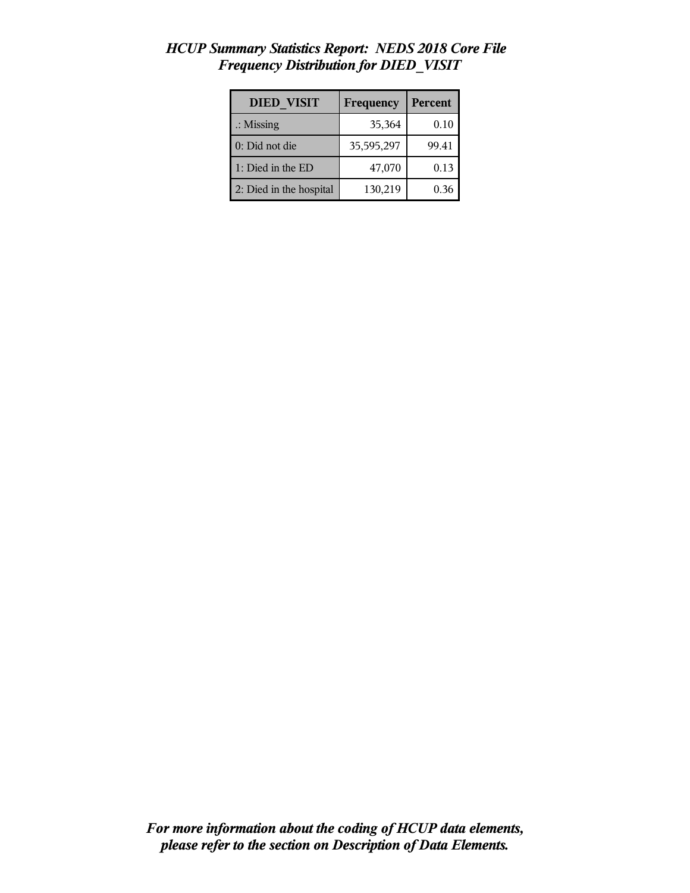| <b>DIED VISIT</b>       | Frequency  | Percent |
|-------------------------|------------|---------|
| $\therefore$ Missing    | 35,364     | 0.10    |
| 0: Did not die          | 35,595,297 | 99.41   |
| 1: Died in the ED       | 47,070     | 0.13    |
| 2: Died in the hospital | 130,219    | 0.36    |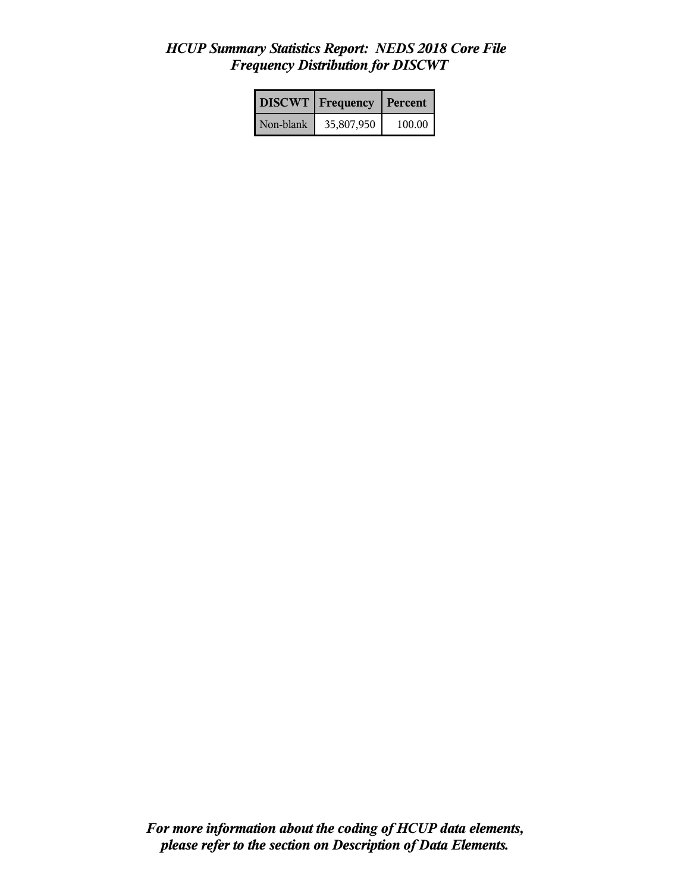|           | <b>DISCWT</b>   Frequency | <b>Percent</b> |
|-----------|---------------------------|----------------|
| Non-blank | 35,807,950                | 100.00         |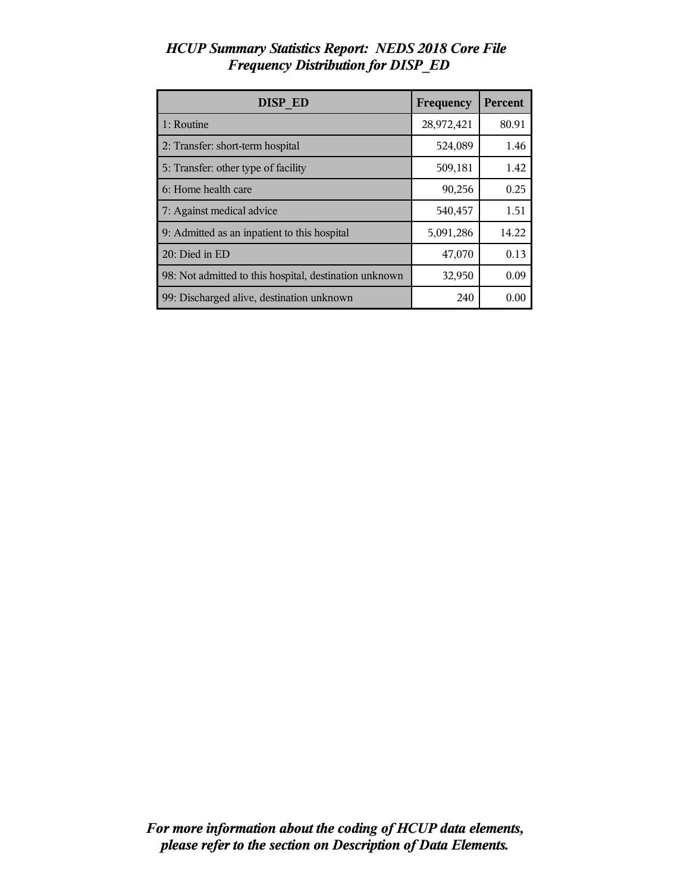| DISP ED                                                | Frequency  | Percent |
|--------------------------------------------------------|------------|---------|
| 1: Routine                                             | 28,972,421 | 80.91   |
| 2: Transfer: short-term hospital                       | 524,089    | 1.46    |
| 5: Transfer: other type of facility                    | 509,181    | 1.42    |
| 6: Home health care                                    | 90,256     | 0.25    |
| 7: Against medical advice                              | 540,457    | 1.51    |
| 9: Admitted as an inpatient to this hospital           | 5,091,286  | 14.22   |
| 20: Died in ED                                         | 47,070     | 0.13    |
| 98: Not admitted to this hospital, destination unknown | 32,950     | 0.09    |
| 99: Discharged alive, destination unknown              | 240        | 0.00    |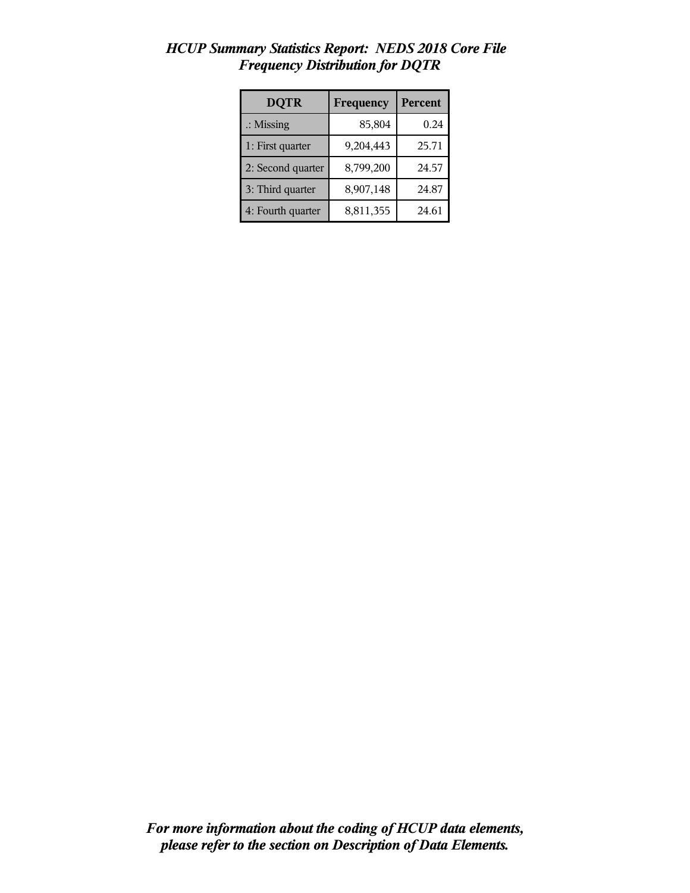| <b>DQTR</b>          | Frequency | Percent |
|----------------------|-----------|---------|
| $\therefore$ Missing | 85,804    | 0.24    |
| 1: First quarter     | 9,204,443 | 25.71   |
| 2: Second quarter    | 8,799,200 | 24.57   |
| 3: Third quarter     | 8,907,148 | 24.87   |
| 4: Fourth quarter    | 8,811,355 | 24.61   |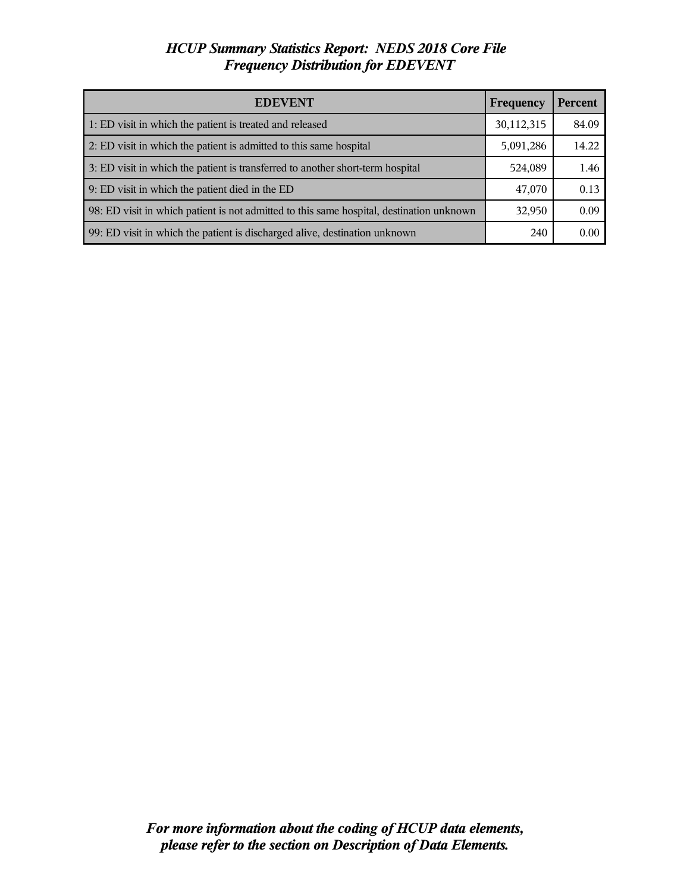| <b>EDEVENT</b>                                                                           | <b>Frequency</b> | <b>Percent</b> |
|------------------------------------------------------------------------------------------|------------------|----------------|
| 1: ED visit in which the patient is treated and released                                 | 30,112,315       | 84.09          |
| 2: ED visit in which the patient is admitted to this same hospital                       | 5,091,286        | 14.22          |
| 3: ED visit in which the patient is transferred to another short-term hospital           | 524,089          | 1.46           |
| 9: ED visit in which the patient died in the ED                                          | 47,070           | 0.13           |
| 98: ED visit in which patient is not admitted to this same hospital, destination unknown | 32,950           | 0.09           |
| 99: ED visit in which the patient is discharged alive, destination unknown               | 240              | 0.00           |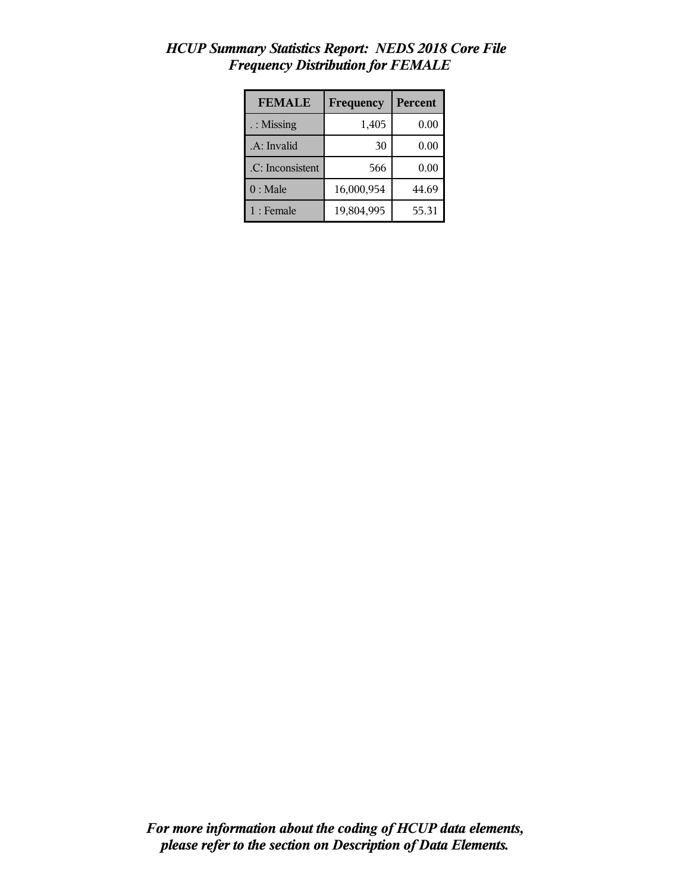| <b>FEMALE</b>    | Frequency  | Percent |
|------------------|------------|---------|
| : Missing        | 1,405      | 0.00    |
| .A: Invalid      | 30         | 0.00    |
| .C: Inconsistent | 566        | 0.00    |
| $0:$ Male        | 16,000,954 | 44.69   |
| $1:$ Female      | 19,804,995 | 55.31   |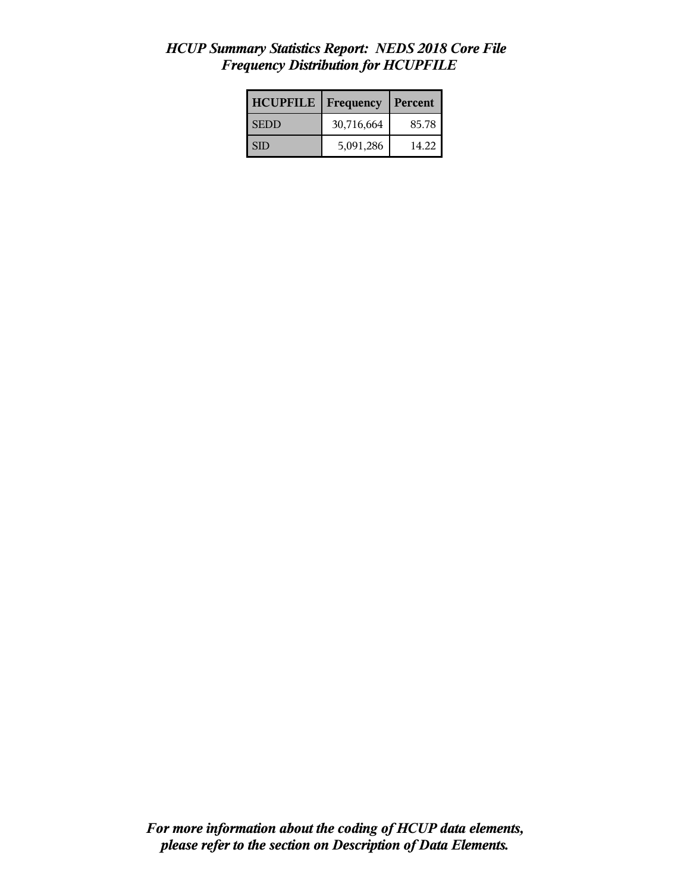| <b>HCUPFILE</b> | Frequency  | Percent |
|-----------------|------------|---------|
| l SEDD          | 30,716,664 | 85.78   |
| <b>SID</b>      | 5,091,286  | 14.22   |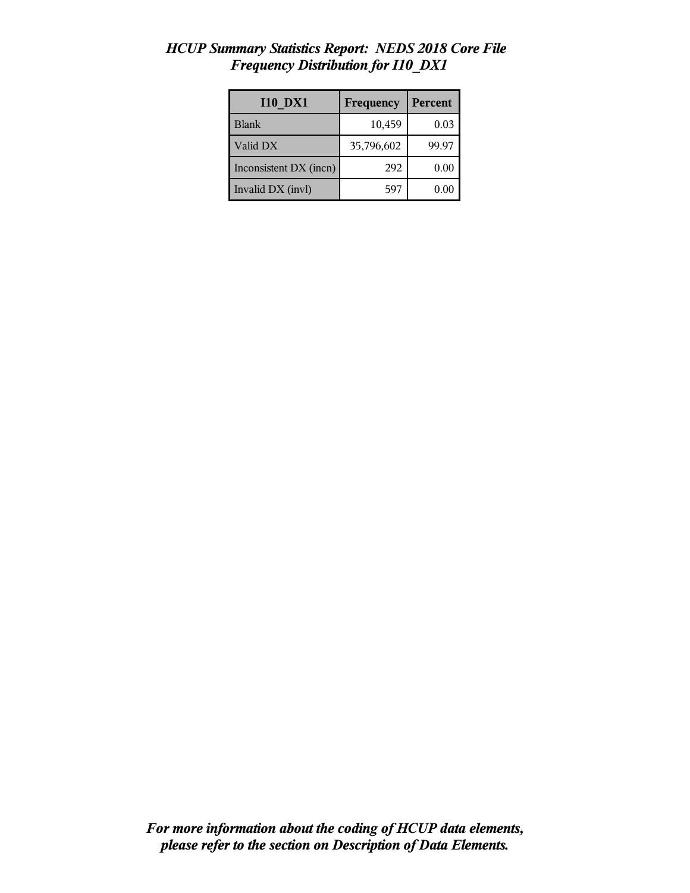| <b>I10 DX1</b>         | Frequency  | Percent |
|------------------------|------------|---------|
| <b>Blank</b>           | 10,459     | 0.03    |
| Valid DX               | 35,796,602 | 99.97   |
| Inconsistent DX (incn) | 292        | 0.00    |
| Invalid DX (invl)      | 597        | 0.00    |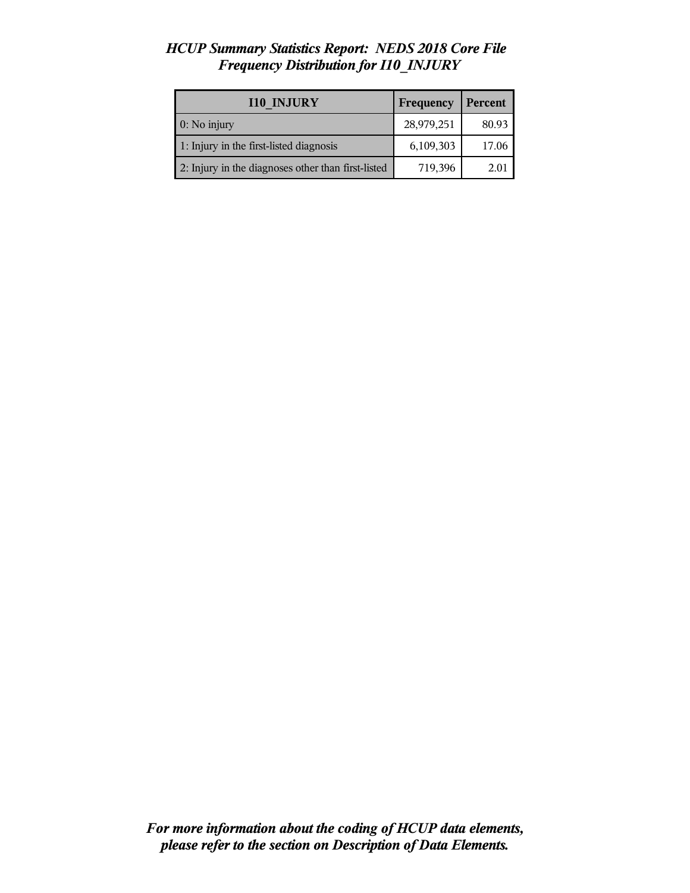| <b>I10 INJURY</b>                                  | Frequency  | Percent |
|----------------------------------------------------|------------|---------|
| $0:$ No injury                                     | 28,979,251 | 80.93   |
| 1: Injury in the first-listed diagnosis            | 6,109,303  | 17.06   |
| 2: Injury in the diagnoses other than first-listed | 719,396    | 2.01    |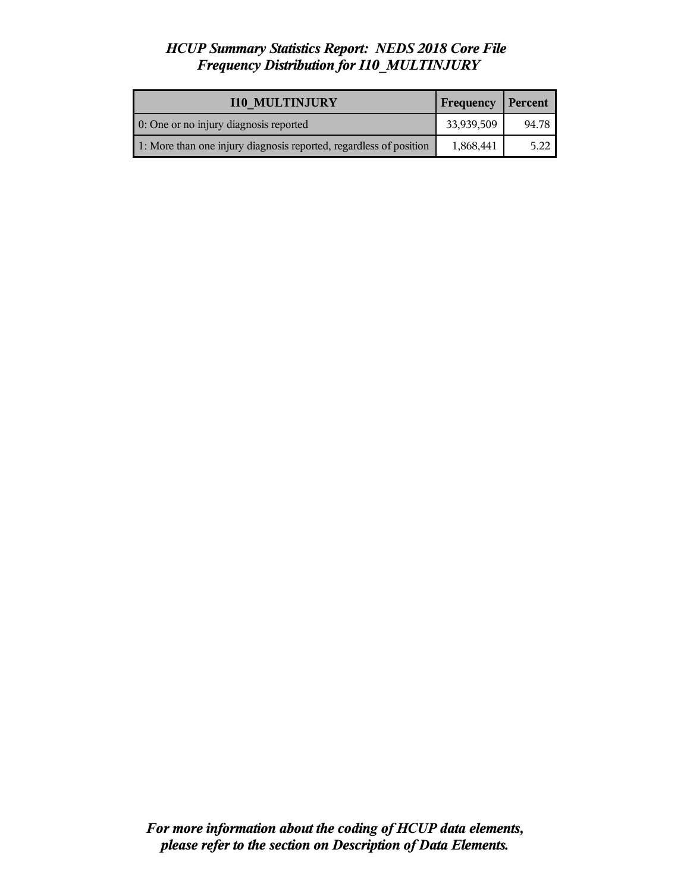| <b>I10 MULTINJURY</b>                                              | <b>Frequency</b> | Percent |
|--------------------------------------------------------------------|------------------|---------|
| 0: One or no injury diagnosis reported                             | 33,939,509       | 94.78   |
| 1: More than one injury diagnosis reported, regardless of position | 1,868,441        | 5.22    |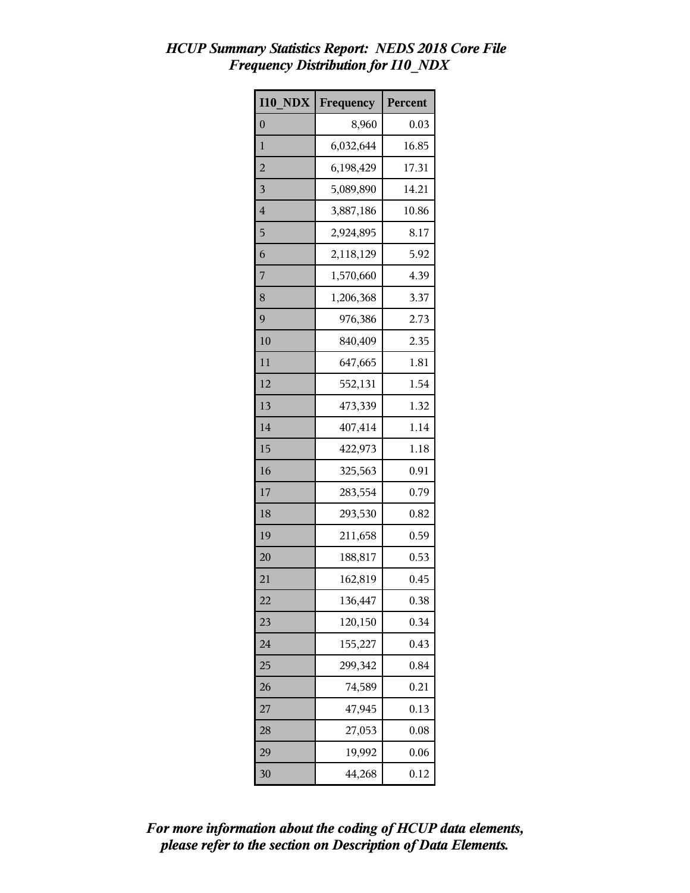| <b>I10 NDX</b> | Frequency | Percent |
|----------------|-----------|---------|
| $\overline{0}$ | 8,960     | 0.03    |
| 1              | 6,032,644 | 16.85   |
| $\overline{c}$ | 6,198,429 | 17.31   |
| 3              | 5,089,890 | 14.21   |
| 4              | 3,887,186 | 10.86   |
| 5              | 2,924,895 | 8.17    |
| 6              | 2,118,129 | 5.92    |
| 7              | 1,570,660 | 4.39    |
| 8              | 1,206,368 | 3.37    |
| 9              | 976,386   | 2.73    |
| 10             | 840,409   | 2.35    |
| 11             | 647,665   | 1.81    |
| 12             | 552,131   | 1.54    |
| 13             | 473,339   | 1.32    |
| 14             | 407,414   | 1.14    |
| 15             | 422,973   | 1.18    |
| 16             | 325,563   | 0.91    |
| 17             | 283,554   | 0.79    |
| 18             | 293,530   | 0.82    |
| 19             | 211,658   | 0.59    |
| 20             | 188,817   | 0.53    |
| 21             | 162,819   | 0.45    |
| 22             | 136,447   | 0.38    |
| 23             | 120,150   | 0.34    |
| 24             | 155,227   | 0.43    |
| 25             | 299,342   | 0.84    |
| 26             | 74,589    | 0.21    |
| 27             | 47,945    | 0.13    |
| 28             | 27,053    | 0.08    |
| 29             | 19,992    | 0.06    |
| 30             | 44,268    | 0.12    |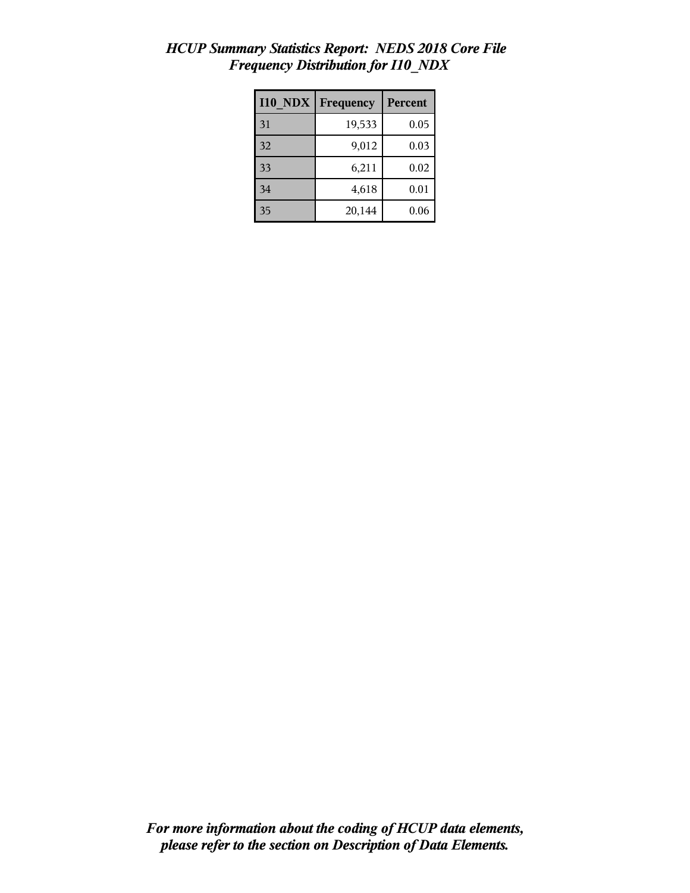| <b>I10 NDX</b> | Frequency | <b>Percent</b> |
|----------------|-----------|----------------|
| 31             | 19,533    | 0.05           |
| 32             | 9,012     | 0.03           |
| 33             | 6,211     | 0.02           |
| 34             | 4,618     | 0.01           |
| 35             | 20,144    | 0.06           |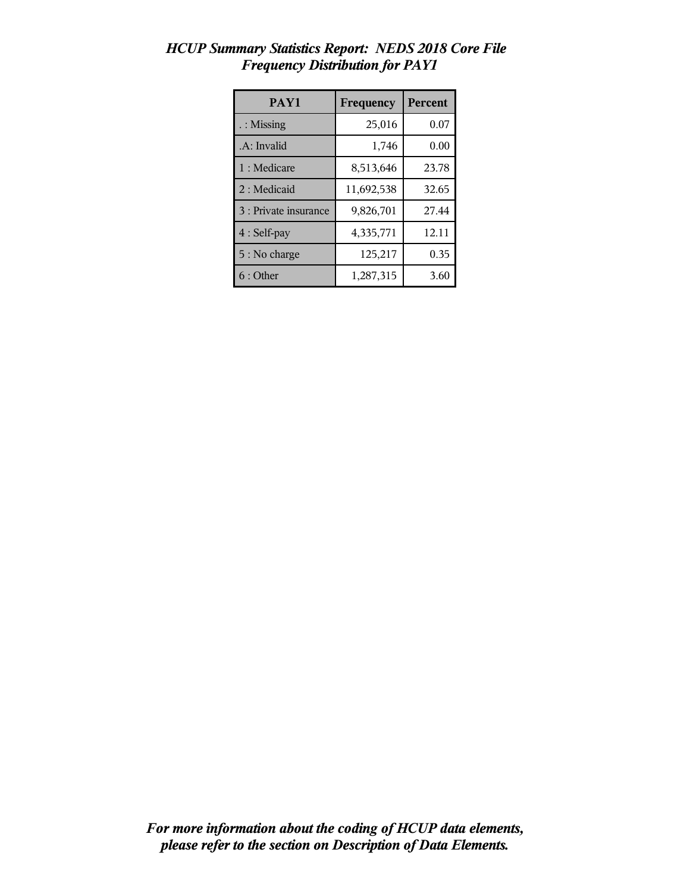| PAY1                  | Frequency  | Percent |
|-----------------------|------------|---------|
| $\therefore$ Missing  | 25,016     | 0.07    |
| .A: Invalid           | 1,746      | 0.00    |
| 1 : Medicare          | 8,513,646  | 23.78   |
| 2 : Medicaid          | 11,692,538 | 32.65   |
| 3 : Private insurance | 9,826,701  | 27.44   |
| 4 : Self-pay          | 4,335,771  | 12.11   |
| 5 : No charge         | 125,217    | 0.35    |
| 6 : Other             | 1,287,315  | 3.60    |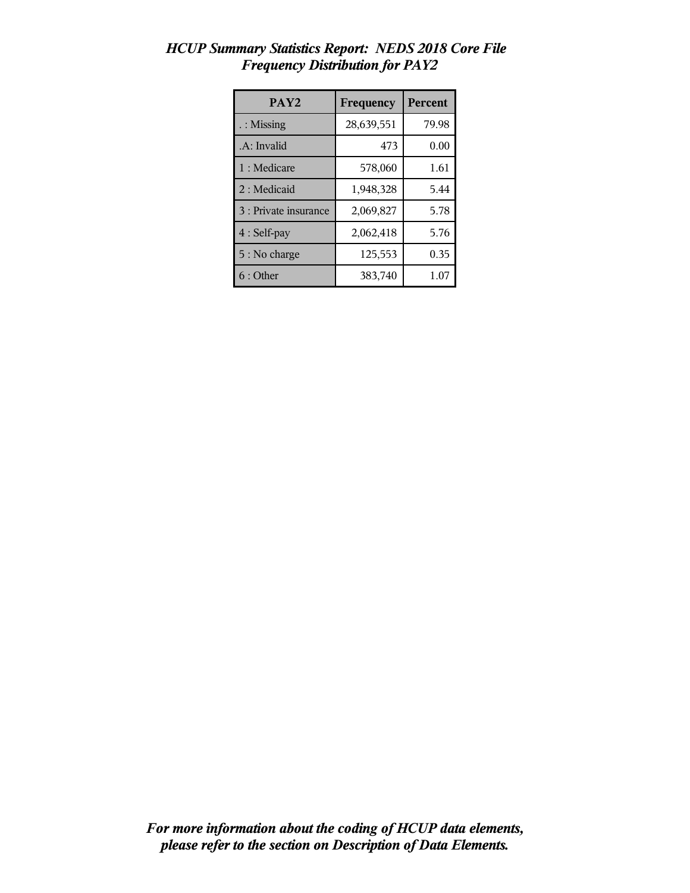| PAY <sub>2</sub>      | Frequency  | <b>Percent</b> |
|-----------------------|------------|----------------|
| $\therefore$ Missing  | 28,639,551 | 79.98          |
| .A: Invalid           | 473        | 0.00           |
| 1 : Medicare          | 578,060    | 1.61           |
| 2: Medicaid           | 1,948,328  | 5.44           |
| 3 : Private insurance | 2,069,827  | 5.78           |
| 4 : Self-pay          | 2,062,418  | 5.76           |
| 5 : No charge         | 125,553    | 0.35           |
| 6 : Other             | 383,740    | 1.07           |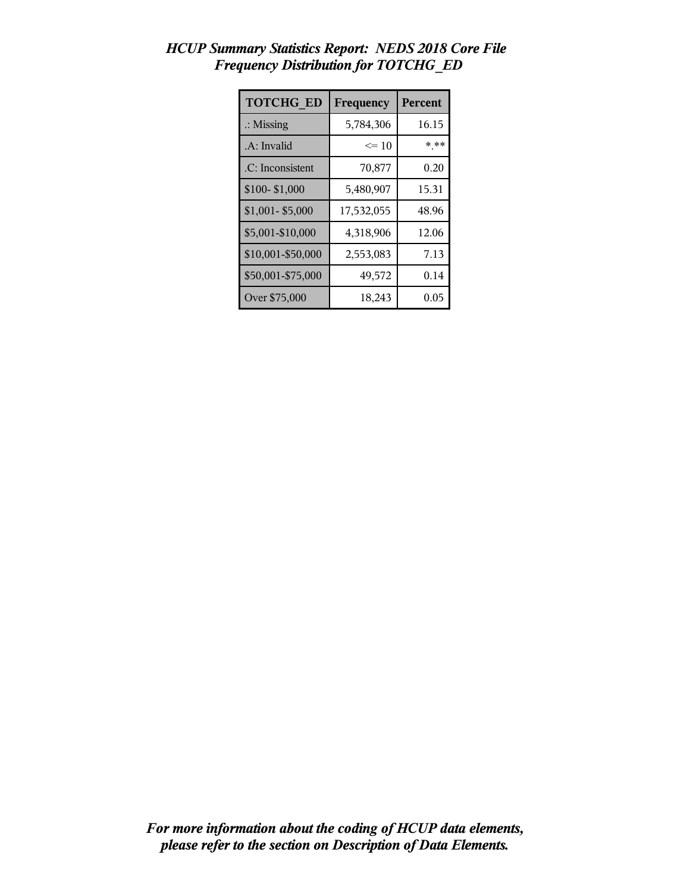| <b>TOTCHG ED</b>     | Frequency  | Percent |
|----------------------|------------|---------|
| $\therefore$ Missing | 5,784,306  | 16.15   |
| .A: Invalid          | $\leq 10$  | * **    |
| .C: Inconsistent     | 70,877     | 0.20    |
| \$100-\$1,000        | 5,480,907  | 15.31   |
| \$1,001-\$5,000      | 17,532,055 | 48.96   |
| \$5,001-\$10,000     | 4,318,906  | 12.06   |
| \$10,001-\$50,000    | 2,553,083  | 7.13    |
| \$50,001-\$75,000    | 49,572     | 0.14    |
| Over \$75,000        | 18,243     | 0.05    |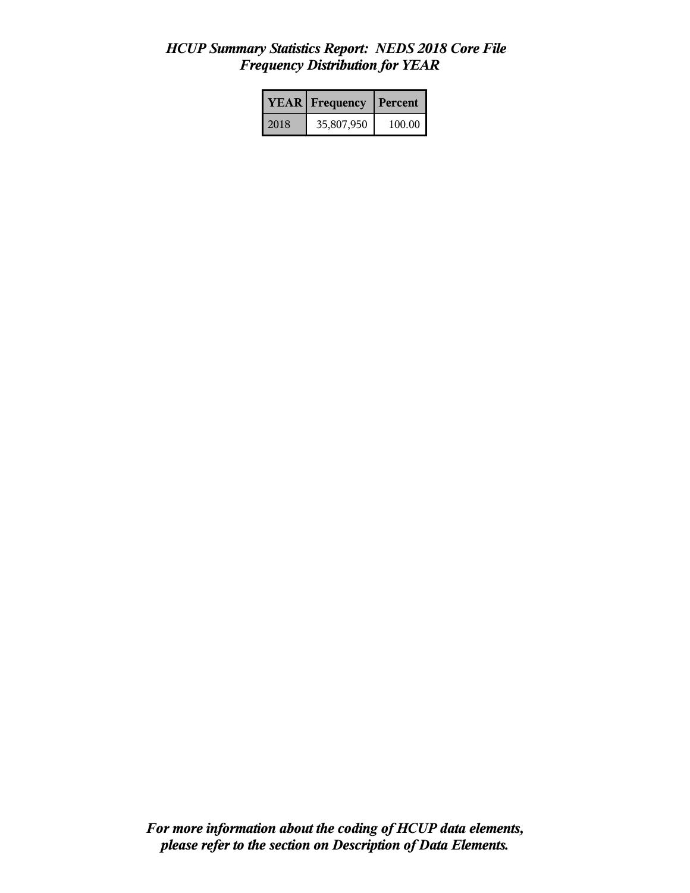|      | <b>YEAR</b> Frequency | <b>Percent</b> |
|------|-----------------------|----------------|
| 2018 | 35,807,950            | 100.00         |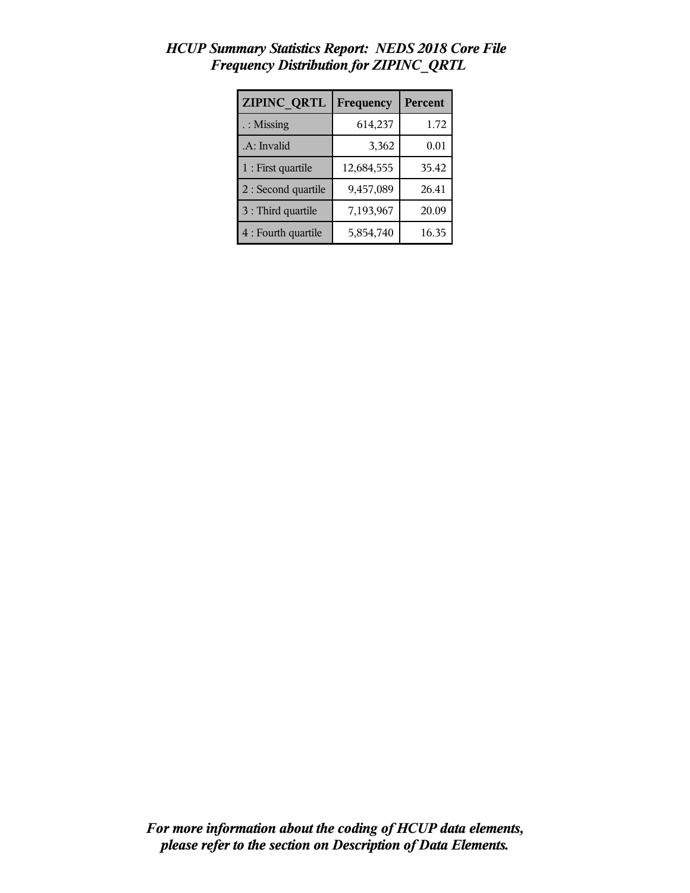| ZIPINC QRTL          | Frequency  | Percent |
|----------------------|------------|---------|
| $\therefore$ Missing | 614,237    | 1.72    |
| .A: Invalid          | 3,362      | 0.01    |
| 1 : First quartile   | 12,684,555 | 35.42   |
| 2 : Second quartile  | 9,457,089  | 26.41   |
| 3 : Third quartile   | 7,193,967  | 20.09   |
| 4 : Fourth quartile  | 5,854,740  | 16.35   |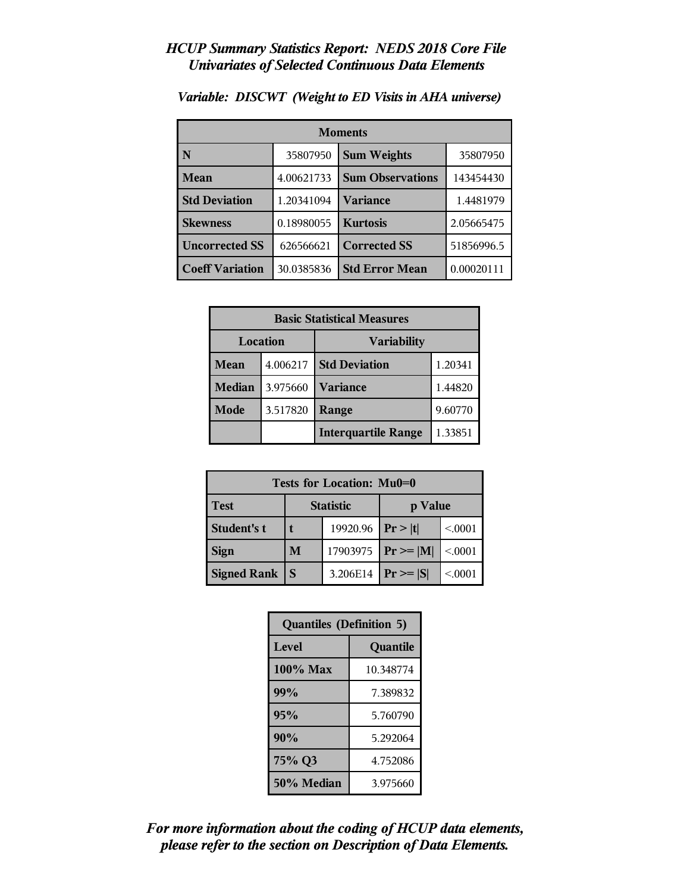| <b>Moments</b>         |            |                         |            |  |  |
|------------------------|------------|-------------------------|------------|--|--|
| N                      | 35807950   | <b>Sum Weights</b>      | 35807950   |  |  |
| Mean                   | 4.00621733 | <b>Sum Observations</b> | 143454430  |  |  |
| <b>Std Deviation</b>   | 1.20341094 | <b>Variance</b>         | 1.4481979  |  |  |
| <b>Skewness</b>        | 0.18980055 | <b>Kurtosis</b>         | 2.05665475 |  |  |
| <b>Uncorrected SS</b>  | 626566621  | <b>Corrected SS</b>     | 51856996.5 |  |  |
| <b>Coeff Variation</b> | 30.0385836 | <b>Std Error Mean</b>   | 0.00020111 |  |  |

*Variable: DISCWT (Weight to ED Visits in AHA universe)*

| <b>Basic Statistical Measures</b> |          |                            |         |
|-----------------------------------|----------|----------------------------|---------|
|                                   | Location | <b>Variability</b>         |         |
| Mean                              | 4.006217 | <b>Std Deviation</b>       | 1.20341 |
| <b>Median</b>                     | 3.975660 | <b>Variance</b>            | 1.44820 |
| Mode                              | 3.517820 | Range                      | 9.60770 |
|                                   |          | <b>Interquartile Range</b> | 1.33851 |

| Tests for Location: Mu0=0 |                             |          |               |        |  |  |
|---------------------------|-----------------------------|----------|---------------|--------|--|--|
| <b>Test</b>               | <b>Statistic</b><br>p Value |          |               |        |  |  |
| Student's t               |                             | 19920.96 | Pr> t         | < 0001 |  |  |
| <b>Sign</b>               | M                           | 17903975 | $Pr \geq  M $ | < 0001 |  |  |
| <b>Signed Rank</b>        | S                           | 3.206E14 | $Pr \geq  S $ | < 0001 |  |  |

| <b>Quantiles (Definition 5)</b> |           |  |
|---------------------------------|-----------|--|
| Level                           | Quantile  |  |
| 100% Max                        | 10.348774 |  |
| 99%                             | 7.389832  |  |
| 95%                             | 5.760790  |  |
| 90%                             | 5.292064  |  |
| 75% Q3                          | 4.752086  |  |
| 50% Median                      | 3.975660  |  |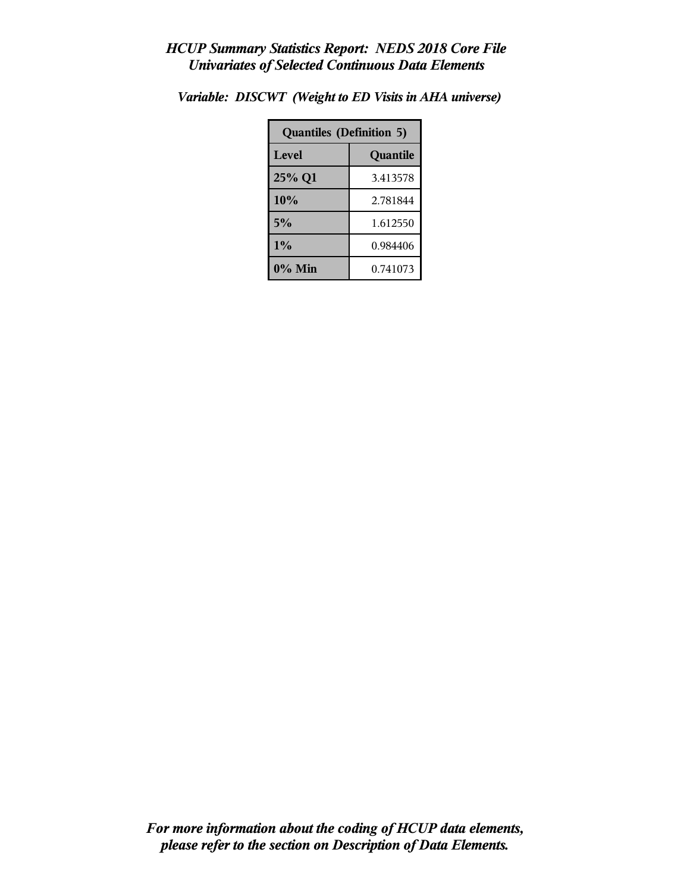| <b>Quantiles (Definition 5)</b> |          |  |
|---------------------------------|----------|--|
| Level<br>Quantile               |          |  |
| 25% Q1                          | 3.413578 |  |
| 10%                             | 2.781844 |  |
| 5%                              | 1.612550 |  |
| $1\%$                           | 0.984406 |  |
| $0\%$ Min                       | 0.741073 |  |

*Variable: DISCWT (Weight to ED Visits in AHA universe)*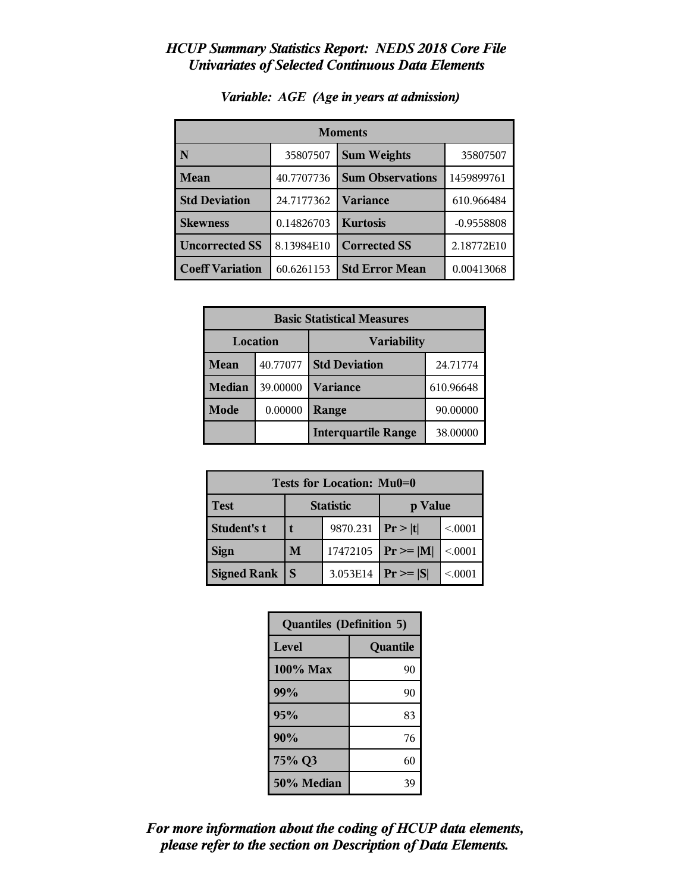| <b>Moments</b>         |            |                         |              |  |
|------------------------|------------|-------------------------|--------------|--|
| N                      | 35807507   | <b>Sum Weights</b>      | 35807507     |  |
| Mean                   | 40.7707736 | <b>Sum Observations</b> | 1459899761   |  |
| <b>Std Deviation</b>   | 24.7177362 | <b>Variance</b>         | 610.966484   |  |
| <b>Skewness</b>        | 0.14826703 | <b>Kurtosis</b>         | $-0.9558808$ |  |
| <b>Uncorrected SS</b>  | 8.13984E10 | <b>Corrected SS</b>     | 2.18772E10   |  |
| <b>Coeff Variation</b> | 60.6261153 | <b>Std Error Mean</b>   | 0.00413068   |  |

#### *Variable: AGE (Age in years at admission)*

| <b>Basic Statistical Measures</b> |          |                            |           |
|-----------------------------------|----------|----------------------------|-----------|
| Location<br><b>Variability</b>    |          |                            |           |
| <b>Mean</b>                       | 40.77077 | <b>Std Deviation</b>       | 24.71774  |
| <b>Median</b>                     | 39.00000 | <b>Variance</b>            | 610.96648 |
| <b>Mode</b>                       | 0.00000  | Range                      | 90.00000  |
|                                   |          | <b>Interquartile Range</b> | 38.00000  |

| Tests for Location: Mu0=0 |                             |          |                |        |  |  |
|---------------------------|-----------------------------|----------|----------------|--------|--|--|
| <b>Test</b>               | <b>Statistic</b><br>p Value |          |                |        |  |  |
| Student's t               |                             | 9870.231 | Pr >  t        | < 0001 |  |  |
| <b>Sign</b>               | M                           | 17472105 | $Pr \ge =  M $ | < 0001 |  |  |
| <b>Signed Rank</b>        | S                           | 3.053E14 | $Pr \geq  S $  | < 0001 |  |  |

| <b>Quantiles (Definition 5)</b> |          |  |
|---------------------------------|----------|--|
| Level                           | Quantile |  |
| 100% Max                        | 90       |  |
| 99%                             | 90       |  |
| 95%                             | 83       |  |
| 90%                             | 76       |  |
| 75% Q3                          | 60       |  |
| 50% Median                      | 39       |  |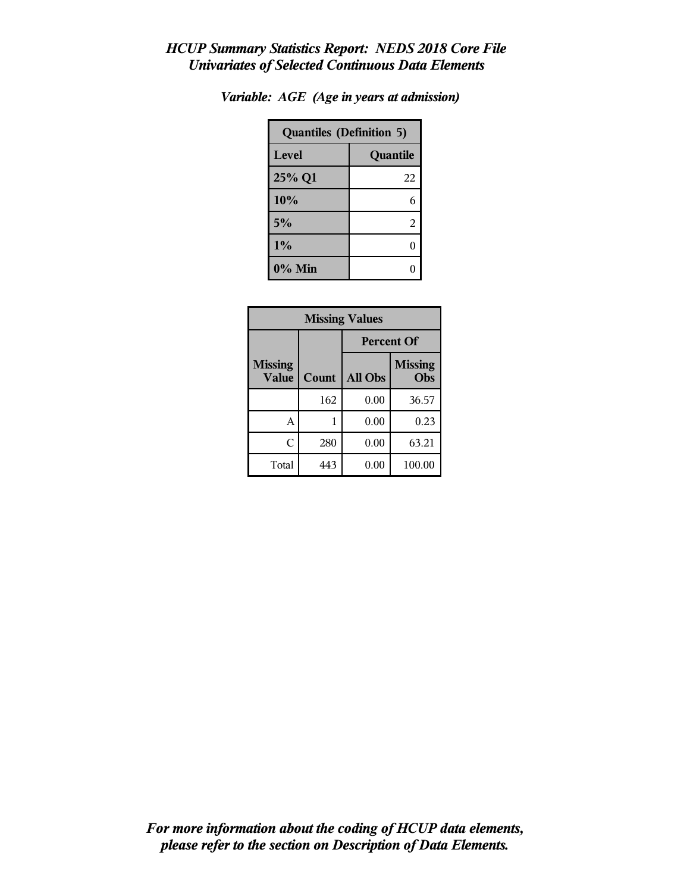| <b>Quantiles (Definition 5)</b> |          |  |
|---------------------------------|----------|--|
| Level                           | Quantile |  |
| 25% Q1                          | 22       |  |
| 10%                             | 6        |  |
| 5%                              | 2        |  |
| 1%                              | ſ        |  |
| 0% Min                          |          |  |

| Variable: AGE (Age in years at admission) |  |  |  |  |  |  |
|-------------------------------------------|--|--|--|--|--|--|
|-------------------------------------------|--|--|--|--|--|--|

| <b>Missing Values</b>          |       |                   |                       |
|--------------------------------|-------|-------------------|-----------------------|
|                                |       | <b>Percent Of</b> |                       |
| <b>Missing</b><br><b>Value</b> | Count | All Obs           | <b>Missing</b><br>Obs |
|                                | 162   | 0.00              | 36.57                 |
| А                              |       | 0.00              | 0.23                  |
| C                              | 280   | 0.00              | 63.21                 |
| Total                          | 443   | 0.00              | 100.00                |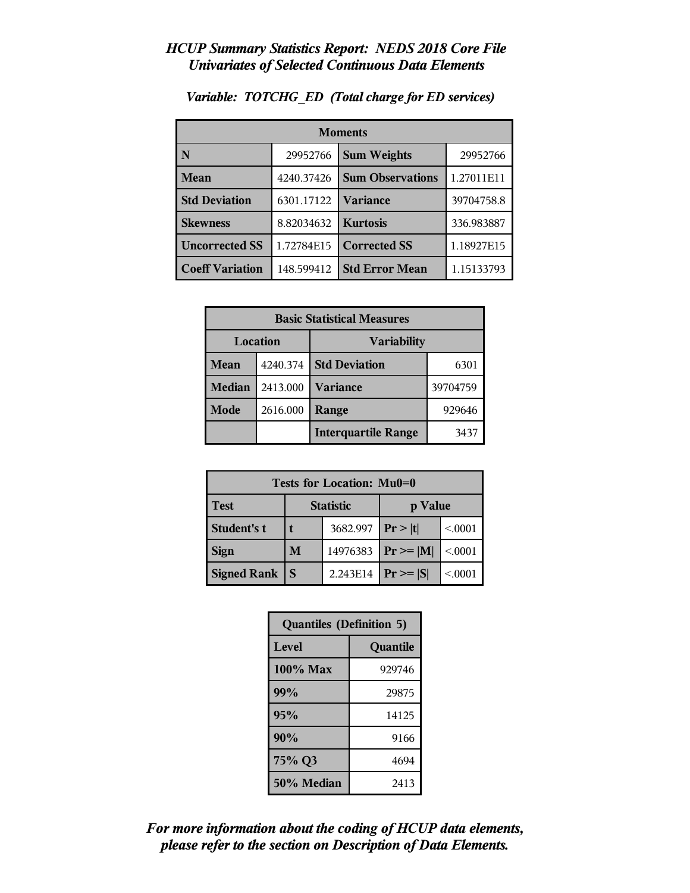| <b>Moments</b>         |            |                         |            |  |
|------------------------|------------|-------------------------|------------|--|
| N                      | 29952766   | <b>Sum Weights</b>      | 29952766   |  |
| <b>Mean</b>            | 4240.37426 | <b>Sum Observations</b> | 1.27011E11 |  |
| <b>Std Deviation</b>   | 6301.17122 | <b>Variance</b>         | 39704758.8 |  |
| <b>Skewness</b>        | 8.82034632 | <b>Kurtosis</b>         | 336.983887 |  |
| <b>Uncorrected SS</b>  | 1.72784E15 | <b>Corrected SS</b>     | 1.18927E15 |  |
| <b>Coeff Variation</b> | 148.599412 | <b>Std Error Mean</b>   | 1.15133793 |  |

*Variable: TOTCHG\_ED (Total charge for ED services)*

| <b>Basic Statistical Measures</b> |          |                            |          |
|-----------------------------------|----------|----------------------------|----------|
| <b>Location</b>                   |          | <b>Variability</b>         |          |
| <b>Mean</b>                       | 4240.374 | <b>Std Deviation</b>       | 6301     |
| <b>Median</b>                     | 2413.000 | <b>Variance</b>            | 39704759 |
| Mode                              | 2616.000 | Range                      | 929646   |
|                                   |          | <b>Interquartile Range</b> | 3437     |

| Tests for Location: Mu0=0 |                  |          |                |        |
|---------------------------|------------------|----------|----------------|--------|
| <b>Test</b>               | <b>Statistic</b> |          | p Value        |        |
| <b>Student's t</b>        |                  | 3682.997 | Pr >  t        | < 0001 |
| <b>Sign</b>               | M                | 14976383 | $Pr \ge =  M $ | < 0001 |
| <b>Signed Rank</b>        | S                | 2.243E14 | $Pr \geq  S $  | < 0001 |

| <b>Quantiles (Definition 5)</b> |          |  |
|---------------------------------|----------|--|
| Level                           | Quantile |  |
| 100% Max                        | 929746   |  |
| 99%                             | 29875    |  |
| 95%                             | 14125    |  |
| 90%                             | 9166     |  |
| 75% Q3                          | 4694     |  |
| 50% Median                      | 2413     |  |